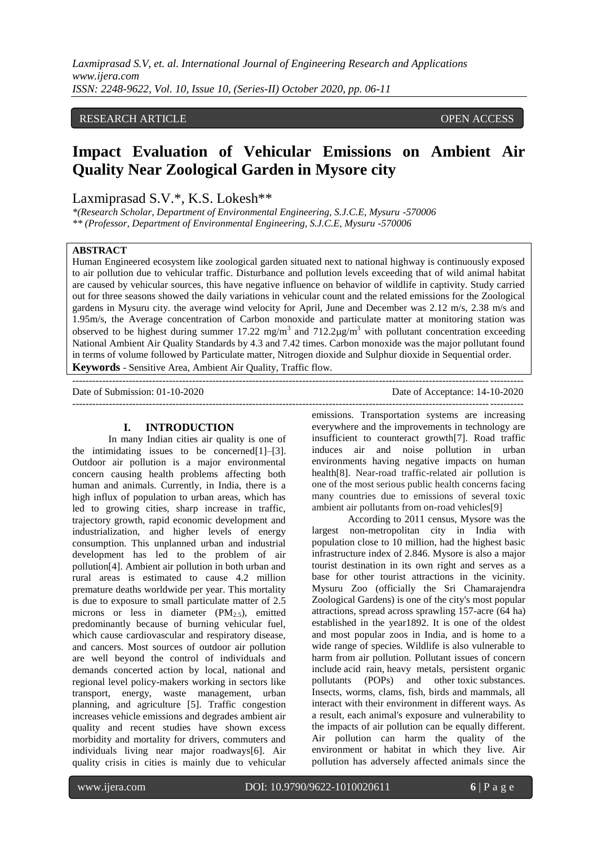*Laxmiprasad S.V, et. al. International Journal of Engineering Research and Applications www.ijera.com ISSN: 2248-9622, Vol. 10, Issue 10, (Series-II) October 2020, pp. 06-11*

# RESEARCH ARTICLE **OPEN ACCESS**

# **Impact Evaluation of Vehicular Emissions on Ambient Air Quality Near Zoological Garden in Mysore city**

# Laxmiprasad S.V.\*, K.S. Lokesh\*\*

*\*(Research Scholar, Department of Environmental Engineering, S.J.C.E, Mysuru -570006 \*\* (Professor, Department of Environmental Engineering, S.J.C.E, Mysuru -570006*

# **ABSTRACT**

Human Engineered ecosystem like zoological garden situated next to national highway is continuously exposed to air pollution due to vehicular traffic. Disturbance and pollution levels exceeding that of wild animal habitat are caused by vehicular sources, this have negative influence on behavior of wildlife in captivity. Study carried out for three seasons showed the daily variations in vehicular count and the related emissions for the Zoological gardens in Mysuru city. the average wind velocity for April, June and December was 2.12 m/s, 2.38 m/s and 1.95m/s, the Average concentration of Carbon monoxide and particulate matter at monitoring station was observed to be highest during summer 17.22 mg/m<sup>3</sup> and 712.2 $\mu$ g/m<sup>3</sup> with pollutant concentration exceeding National Ambient Air Quality Standards by 4.3 and 7.42 times. Carbon monoxide was the major pollutant found in terms of volume followed by Particulate matter, Nitrogen dioxide and Sulphur dioxide in Sequential order. **Keywords** - Sensitive Area, Ambient Air Quality, Traffic flow.

---------------------------------------------------------------------------------------------------------------------------------------

Date of Submission: 01-10-2020

## **I. INTRODUCTION**

In many Indian cities air quality is one of the intimidating issues to be concerned $[1]-[3]$ . Outdoor air pollution is a major environmental concern causing health problems affecting both human and animals. Currently, in India, there is a high influx of population to urban areas, which has led to growing cities, sharp increase in traffic, trajectory growth, rapid economic development and industrialization, and higher levels of energy consumption. This unplanned urban and industrial development has led to the problem of air pollution[4]. Ambient air pollution in both urban and rural areas is estimated to cause 4.2 million premature deaths worldwide per year. This mortality is due to exposure to small particulate matter of 2.5 microns or less in diameter  $(PM_{2.5})$ , emitted predominantly because of burning vehicular fuel, which cause cardiovascular and respiratory disease, and cancers. Most sources of outdoor air pollution are well beyond the control of individuals and demands concerted action by local, national and regional level policy-makers working in sectors like transport, energy, waste management, urban planning, and agriculture [5]. Traffic congestion increases vehicle emissions and degrades ambient air quality and recent studies have shown excess morbidity and mortality for drivers, commuters and individuals living near major roadways[6]. Air quality crisis in cities is mainly due to vehicular

---------------------------------------------------------------------------------------------------------------------------------------

emissions. Transportation systems are increasing everywhere and the improvements in technology are insufficient to counteract growth[7]. Road traffic induces air and noise pollution in urban environments having negative impacts on human health[8]. Near-road traffic-related air pollution is one of the most serious public health concerns facing many countries due to emissions of several toxic ambient air pollutants from on-road vehicles[9]

According to 2011 census, Mysore was the largest non-metropolitan city in India with population close to 10 million, had the highest basic infrastructure index of 2.846. Mysore is also a major tourist destination in its own right and serves as a base for other tourist attractions in the vicinity. Mysuru Zoo (officially the Sri Chamarajendra Zoological Gardens) is one of the city's most popular attractions, spread across sprawling 157-acre (64 ha) established in the year1892. It is one of the oldest and most popular zoos in India, and is home to a wide range of species. Wildlife is also vulnerable to harm from air pollution. Pollutant issues of concern include [acid rain,](https://www.canada.ca/en/environment-climate-change/services/air-pollution/issues/acid-rain-causes-effects.html) [heavy metals,](https://www.canada.ca/en/environment-climate-change/services/air-pollution/pollutants/heavy-metals.html) persistent organic pollutants (POPs) and other [toxic](https://www.canada.ca/en/environment-climate-change/services/air-pollution/pollutants/toxic.html) substances. Insects, worms, clams, fish, birds and mammals, all interact with their environment in different ways. As a result, each animal's exposure and vulnerability to the impacts of air pollution can be equally different. Air pollution can harm the quality of the environment or habitat in which they live. Air pollution has adversely affected animals since the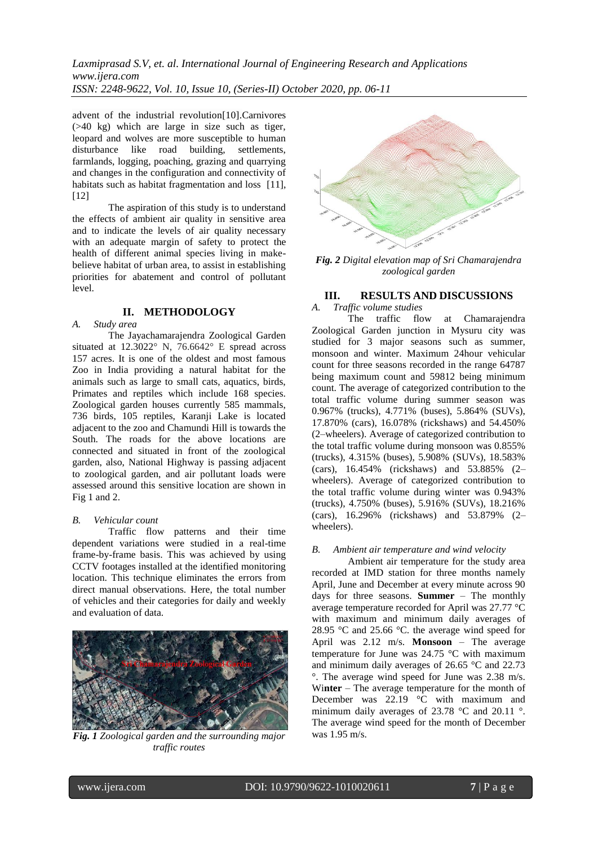*Laxmiprasad S.V, et. al. International Journal of Engineering Research and Applications www.ijera.com ISSN: 2248-9622, Vol. 10, Issue 10, (Series-II) October 2020, pp. 06-11*

advent of the industrial revolution[10].Carnivores (>40 kg) which are large in size such as tiger, leopard and wolves are more susceptible to human disturbance like road building, settlements, farmlands, logging, poaching, grazing and quarrying and changes in the configuration and connectivity of habitats such as habitat fragmentation and loss [11], [12]

The aspiration of this study is to understand the effects of ambient air quality in sensitive area and to indicate the levels of air quality necessary with an adequate margin of safety to protect the health of different animal species living in makebelieve habitat of urban area, to assist in establishing priorities for abatement and control of pollutant level.

# **II. METHODOLOGY**

*A. Study area*

The Jayachamarajendra Zoological Garden situated at 12.3022° N, 76.6642° E spread across 157 acres. It is one of the oldest and most famous Zoo in India providing a natural habitat for the animals such as large to small cats, aquatics, birds, Primates and reptiles which include 168 species. Zoological garden houses currently 585 mammals, 736 birds, 105 reptiles, Karanji Lake is located adjacent to the zoo and Chamundi Hill is towards the South. The roads for the above locations are connected and situated in front of the zoological garden, also, National Highway is passing adjacent to zoological garden, and air pollutant loads were assessed around this sensitive location are shown in Fig 1 and 2.

#### *B. Vehicular count*

Traffic flow patterns and their time dependent variations were studied in a real-time frame-by-frame basis. This was achieved by using CCTV footages installed at the identified monitoring location. This technique eliminates the errors from direct manual observations. Here, the total number of vehicles and their categories for daily and weekly and evaluation of data.



*Fig. 1 Zoological garden and the surrounding major traffic routes*



*Fig. 2 Digital elevation map of Sri Chamarajendra zoological garden*

#### **III. RESULTS AND DISCUSSIONS**

*A. Traffic volume studies*

The traffic flow at Chamarajendra Zoological Garden junction in Mysuru city was studied for 3 major seasons such as summer, monsoon and winter. Maximum 24hour vehicular count for three seasons recorded in the range 64787 being maximum count and 59812 being minimum count. The average of categorized contribution to the total traffic volume during summer season was 0.967% (trucks), 4.771% (buses), 5.864% (SUVs), 17.870% (cars), 16.078% (rickshaws) and 54.450% (2–wheelers). Average of categorized contribution to the total traffic volume during monsoon was 0.855% (trucks), 4.315% (buses), 5.908% (SUVs), 18.583% (cars), 16.454% (rickshaws) and 53.885% (2– wheelers). Average of categorized contribution to the total traffic volume during winter was 0.943% (trucks), 4.750% (buses), 5.916% (SUVs), 18.216% (cars), 16.296% (rickshaws) and 53.879% (2– wheelers).

#### *B. Ambient air temperature and wind velocity*

Ambient air temperature for the study area recorded at IMD station for three months namely April, June and December at every minute across 90 days for three seasons. **Summer** – The monthly average temperature recorded for April was 27.77 °C with maximum and minimum daily averages of 28.95 °C and 25.66 °C. the average wind speed for April was 2.12 m/s. **Monsoon** – The average temperature for June was 24.75 °C with maximum and minimum daily averages of 26.65 °C and 22.73 °. The average wind speed for June was 2.38 m/s. Wi**nter** – The average temperature for the month of December was  $22.19$  °C with maximum and minimum daily averages of 23.78 °C and 20.11 °. The average wind speed for the month of December was 1.95 m/s.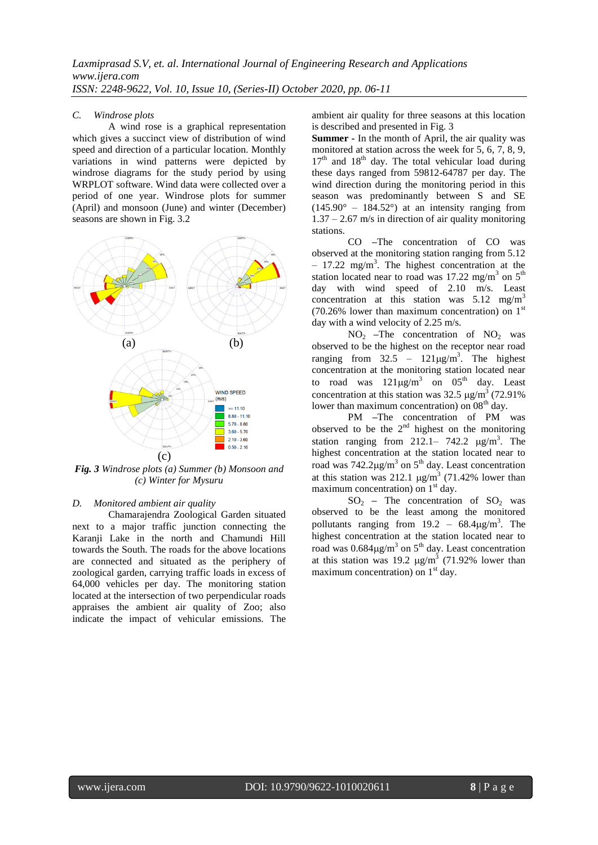#### *C. Windrose plots*

A wind rose is a graphical representation which gives a succinct view of distribution of wind speed and direction of a particular location. Monthly variations in wind patterns were depicted by windrose diagrams for the study period by using WRPLOT software. Wind data were collected over a period of one year. Windrose plots for summer (April) and monsoon (June) and winter (December) seasons are shown in Fig. 3.2



*Fig. 3 Windrose plots (a) Summer (b) Monsoon and (c) Winter for Mysuru*

#### *D. Monitored ambient air quality*

Chamarajendra Zoological Garden situated next to a major traffic junction connecting the Karanji Lake in the north and Chamundi Hill towards the South. The roads for the above locations are connected and situated as the periphery of zoological garden, carrying traffic loads in excess of 64,000 vehicles per day. The monitoring station located at the intersection of two perpendicular roads appraises the ambient air quality of Zoo; also indicate the impact of vehicular emissions. The

ambient air quality for three seasons at this location is described and presented in Fig. 3

**Summer -** In the month of April, the air quality was monitored at station across the week for 5, 6, 7, 8, 9,  $17<sup>th</sup>$  and  $18<sup>th</sup>$  day. The total vehicular load during these days ranged from 59812-64787 per day. The wind direction during the monitoring period in this season was predominantly between S and SE  $(145.90^{\circ} - 184.52^{\circ})$  at an intensity ranging from  $1.37 - 2.67$  m/s in direction of air quality monitoring stations.

CO **–**The concentration of CO was observed at the monitoring station ranging from 5.12  $-17.22$  mg/m<sup>3</sup>. The highest concentration at the station located near to road was 17.22 mg/m<sup>3</sup> on  $5<sup>th</sup>$ day with wind speed of 2.10 m/s. Least concentration at this station was  $5.12 \text{ mg/m}^3$  $(70.26\%$  lower than maximum concentration) on  $1<sup>st</sup>$ day with a wind velocity of 2.25 m/s.

NO<sup>2</sup> **–**The concentration of NO<sup>2</sup> was observed to be the highest on the receptor near road ranging from  $32.5 - 121 \mu g/m^3$ . The highest concentration at the monitoring station located near to road was  $121\mu g/m^3$  on  $05^{th}$  day. Least concentration at this station was  $32.5 \mu g/m^3$  (72.91%) lower than maximum concentration) on  $08<sup>th</sup>$  day.

PM **–**The concentration of PM was observed to be the  $2<sup>nd</sup>$  highest on the monitoring station ranging from  $212.1 - 742.2 \mu g/m^3$ . The highest concentration at the station located near to road was  $742.2 \mu g/m^3$  on  $5<sup>th</sup>$  day. Least concentration at this station was 212.1  $\mu$ g/m<sup>3</sup> (71.42% lower than maximum concentration) on  $1<sup>st</sup>$  day.

 $SO<sub>2</sub>$  – The concentration of  $SO<sub>2</sub>$  was observed to be the least among the monitored pollutants ranging from  $19.2 - 68.4 \mu g/m^3$ . The highest concentration at the station located near to road was  $0.684\mu\text{g/m}^3$  on  $5^{\text{th}}$  day. Least concentration at this station was 19.2  $\mu$ g/m<sup>3</sup> (71.92% lower than maximum concentration) on  $1<sup>st</sup>$  day.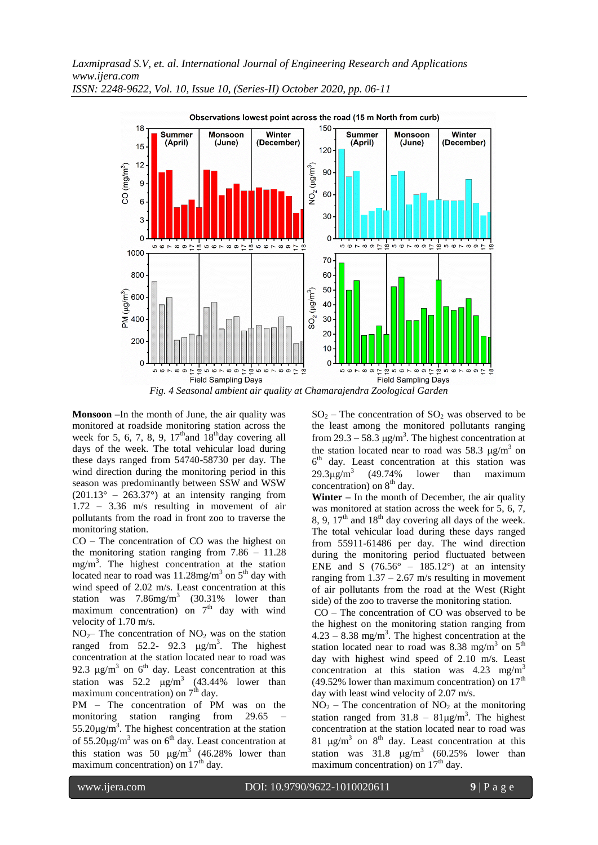*Laxmiprasad S.V, et. al. International Journal of Engineering Research and Applications www.ijera.com ISSN: 2248-9622, Vol. 10, Issue 10, (Series-II) October 2020, pp. 06-11*



**Monsoon –**In the month of June, the air quality was monitored at roadside monitoring station across the week for 5, 6, 7, 8, 9,  $17<sup>th</sup>$  and  $18<sup>th</sup>$  day covering all days of the week. The total vehicular load during these days ranged from 54740-58730 per day. The wind direction during the monitoring period in this season was predominantly between SSW and WSW  $(201.13^{\circ} - 263.37^{\circ})$  at an intensity ranging from 1.72 – 3.36 m/s resulting in movement of air pollutants from the road in front zoo to traverse the monitoring station.

CO – The concentration of CO was the highest on the monitoring station ranging from 7.86 – 11.28 mg/m<sup>3</sup> . The highest concentration at the station located near to road was  $11.28$ mg/m<sup>3</sup> on  $5<sup>th</sup>$  day with wind speed of 2.02 m/s. Least concentration at this station was  $7.86$ mg/m<sup>3</sup> (30.31% lower than maximum concentration) on  $7<sup>th</sup>$  day with wind velocity of 1.70 m/s.

 $NO<sub>2</sub>$ – The concentration of NO<sub>2</sub> was on the station ranged from  $52.2 - 92.3$   $\mu$ g/m<sup>3</sup>. The highest concentration at the station located near to road was 92.3  $\mu$ g/m<sup>3</sup> on 6<sup>th</sup> day. Least concentration at this station was  $52.2 \mu g/m^3$  (43.44% lower than maximum concentration) on  $7<sup>th</sup>$  day.

PM – The concentration of PM was on the monitoring station ranging from 29.65 –  $55.20\mu\text{g/m}^3$ . The highest concentration at the station of  $55.20\mu\text{g/m}^3$  was on 6<sup>th</sup> day. Least concentration at this station was 50  $\mu$ g/m<sup>3</sup> (46.28% lower than maximum concentration) on  $17<sup>th</sup>$  day.

 $SO_2$  – The concentration of  $SO_2$  was observed to be the least among the monitored pollutants ranging from 29.3 – 58.3  $\mu$ g/m<sup>3</sup>. The highest concentration at the station located near to road was 58.3  $\mu$ g/m<sup>3</sup> on 6 th day. Least concentration at this station was  $29.3\mu g/m^3$ (49.74% lower than maximum concentration) on  $8<sup>th</sup>$  day.

**Winter –** In the month of December, the air quality was monitored at station across the week for 5, 6, 7, 8, 9,  $17<sup>th</sup>$  and  $18<sup>th</sup>$  day covering all days of the week. The total vehicular load during these days ranged from 55911-61486 per day. The wind direction during the monitoring period fluctuated between ENE and S  $(76.56^{\circ} - 185.12^{\circ})$  at an intensity ranging from  $1.37 - 2.67$  m/s resulting in movement of air pollutants from the road at the West (Right side) of the zoo to traverse the monitoring station.

CO – The concentration of CO was observed to be the highest on the monitoring station ranging from  $4.23 - 8.38$  mg/m<sup>3</sup>. The highest concentration at the station located near to road was 8.38 mg/m<sup>3</sup> on  $5<sup>th</sup>$ day with highest wind speed of 2.10 m/s. Least concentration at this station was  $4.23 \text{ mg/m}^3$ (49.52% lower than maximum concentration) on  $17<sup>th</sup>$ day with least wind velocity of 2.07 m/s.

 $NO<sub>2</sub>$  – The concentration of  $NO<sub>2</sub>$  at the monitoring station ranged from  $31.8 - 81 \mu g/m^3$ . The highest concentration at the station located near to road was 81  $\mu$ g/m<sup>3</sup> on 8<sup>th</sup> day. Least concentration at this station was  $31.8 \mu g/m^3$  (60.25% lower than maximum concentration) on  $17<sup>th</sup>$  day.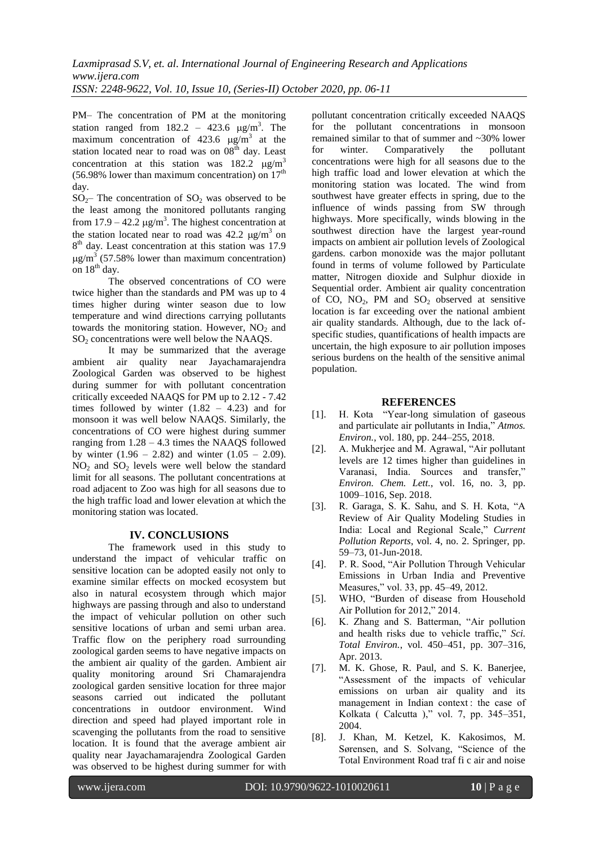PM– The concentration of PM at the monitoring station ranged from  $182.2 - 423.6 \mu g/m^3$ . The maximum concentration of  $423.6 \text{ }\mu\text{g/m}^3$  at the station located near to road was on  $08<sup>th</sup>$  day. Least concentration at this station was  $182.2 \text{ kg/m}^3$ (56.98% lower than maximum concentration) on  $17<sup>th</sup>$ day.

 $SO<sub>2</sub>$ – The concentration of  $SO<sub>2</sub>$  was observed to be the least among the monitored pollutants ranging from  $17.9 - 42.2 \mu g/m^3$ . The highest concentration at the station located near to road was  $42.2 \mu g/m^3$  on 8<sup>th</sup> day. Least concentration at this station was 17.9  $\mu$ g/m<sup>3</sup> (57.58% lower than maximum concentration) on  $18^{th}$  day.

The observed concentrations of CO were twice higher than the standards and PM was up to 4 times higher during winter season due to low temperature and wind directions carrying pollutants towards the monitoring station. However,  $NO<sub>2</sub>$  and  $SO<sub>2</sub>$  concentrations were well below the NAAQS.

It may be summarized that the average ambient air quality near Jayachamarajendra Zoological Garden was observed to be highest during summer for with pollutant concentration critically exceeded NAAQS for PM up to 2.12 - 7.42 times followed by winter  $(1.82 - 4.23)$  and for monsoon it was well below NAAQS. Similarly, the concentrations of CO were highest during summer ranging from  $1.28 - 4.3$  times the NAAQS followed by winter  $(1.96 - 2.82)$  and winter  $(1.05 - 2.09)$ . NO<sup>2</sup> and SO<sup>2</sup> levels were well below the standard limit for all seasons. The pollutant concentrations at road adjacent to Zoo was high for all seasons due to the high traffic load and lower elevation at which the monitoring station was located.

## **IV. CONCLUSIONS**

The framework used in this study to understand the impact of vehicular traffic on sensitive location can be adopted easily not only to examine similar effects on mocked ecosystem but also in natural ecosystem through which major highways are passing through and also to understand the impact of vehicular pollution on other such sensitive locations of urban and semi urban area. Traffic flow on the periphery road surrounding zoological garden seems to have negative impacts on the ambient air quality of the garden. Ambient air quality monitoring around Sri Chamarajendra zoological garden sensitive location for three major seasons carried out indicated the pollutant concentrations in outdoor environment. Wind direction and speed had played important role in scavenging the pollutants from the road to sensitive location. It is found that the average ambient air quality near Jayachamarajendra Zoological Garden was observed to be highest during summer for with

pollutant concentration critically exceeded NAAQS for the pollutant concentrations in monsoon remained similar to that of summer and  $\sim$ 30% lower<br>for winter. Comparatively the pollutant for winter. Comparatively the pollutant concentrations were high for all seasons due to the high traffic load and lower elevation at which the monitoring station was located. The wind from southwest have greater effects in spring, due to the influence of winds passing from SW through highways. More specifically, winds blowing in the southwest direction have the largest year-round impacts on ambient air pollution levels of Zoological gardens. carbon monoxide was the major pollutant found in terms of volume followed by Particulate matter, Nitrogen dioxide and Sulphur dioxide in Sequential order. Ambient air quality concentration of CO,  $NO<sub>2</sub>$ , PM and  $SO<sub>2</sub>$  observed at sensitive location is far exceeding over the national ambient air quality standards. Although, due to the lack ofspecific studies, quantifications of health impacts are uncertain, the high exposure to air pollution imposes serious burdens on the health of the sensitive animal population.

#### **REFERENCES**

- [1]. H. Kota "Year-long simulation of gaseous and particulate air pollutants in India," *Atmos. Environ.*, vol. 180, pp. 244–255, 2018.
- [2]. A. Mukherjee and M. Agrawal, "Air pollutant levels are 12 times higher than guidelines in Varanasi, India. Sources and transfer," *Environ. Chem. Lett.*, vol. 16, no. 3, pp. 1009–1016, Sep. 2018.
- [3]. R. Garaga, S. K. Sahu, and S. H. Kota, "A Review of Air Quality Modeling Studies in India: Local and Regional Scale," *Current Pollution Reports*, vol. 4, no. 2. Springer, pp. 59–73, 01-Jun-2018.
- [4]. P. R. Sood, "Air Pollution Through Vehicular Emissions in Urban India and Preventive Measures," vol. 33, pp. 45–49, 2012.
- [5]. WHO, "Burden of disease from Household Air Pollution for 2012," 2014.
- [6]. K. Zhang and S. Batterman, "Air pollution and health risks due to vehicle traffic," *Sci. Total Environ.*, vol. 450–451, pp. 307–316, Apr. 2013.
- [7]. M. K. Ghose, R. Paul, and S. K. Banerjee, "Assessment of the impacts of vehicular emissions on urban air quality and its management in Indian context : the case of Kolkata ( Calcutta )," vol. 7, pp. 345–351, 2004.
- [8]. J. Khan, M. Ketzel, K. Kakosimos, M. Sørensen, and S. Solvang, "Science of the Total Environment Road traf fi c air and noise